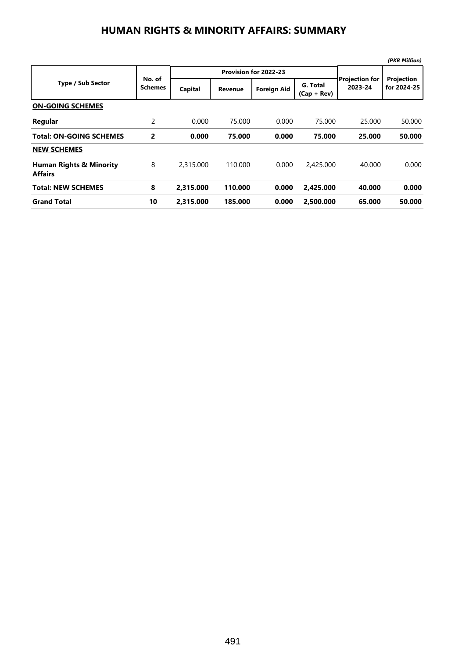## **HUMAN RIGHTS & MINORITY AFFAIRS: SUMMARY**

|                                                      |                          |           |                       |                    |                           |                                  | (PKR Million)             |
|------------------------------------------------------|--------------------------|-----------|-----------------------|--------------------|---------------------------|----------------------------------|---------------------------|
| <b>Type / Sub Sector</b>                             | No. of<br><b>Schemes</b> |           | Provision for 2022-23 |                    |                           |                                  |                           |
|                                                      |                          | Capital   | <b>Revenue</b>        | <b>Foreign Aid</b> | G. Total<br>$(Cap + Rev)$ | <b>Projection for</b><br>2023-24 | Projection<br>for 2024-25 |
| <b>ON-GOING SCHEMES</b>                              |                          |           |                       |                    |                           |                                  |                           |
| Regular                                              | 2                        | 0.000     | 75.000                | 0.000              | 75.000                    | 25.000                           | 50.000                    |
| Total: ON-GOING SCHEMES                              | 2                        | 0.000     | 75.000                | 0.000              | 75.000                    | 25.000                           | 50.000                    |
| <b>NEW SCHEMES</b>                                   |                          |           |                       |                    |                           |                                  |                           |
| <b>Human Rights &amp; Minority</b><br><b>Affairs</b> | 8                        | 2,315,000 | 110.000               | 0.000              | 2,425,000                 | 40.000                           | 0.000                     |
| <b>Total: NEW SCHEMES</b>                            | 8                        | 2.315.000 | 110.000               | 0.000              | 2.425.000                 | 40.000                           | 0.000                     |
| <b>Grand Total</b>                                   | 10                       | 2.315.000 | 185,000               | 0.000              | 2.500.000                 | 65.000                           | 50.000                    |